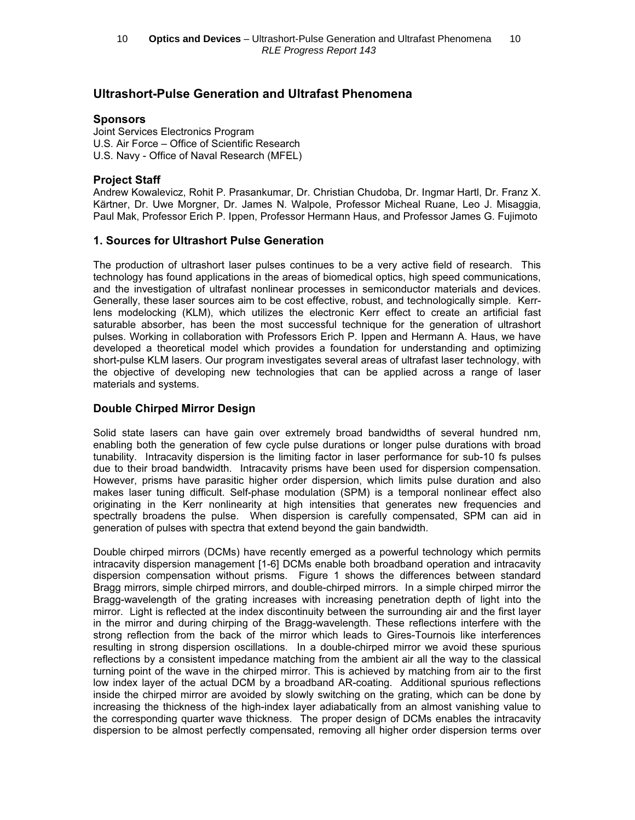# Ultrashort-Pulse Generation and Ultrafast Phenomena

### **Sponsors**

Joint Services Electronics Program U.S. Air Force – Office of Scientific Research U.S. Navy - Office of Naval Research (MFEL)

## Project Staff

Andrew Kowalevicz, Rohit P. Prasankumar, Dr. Christian Chudoba, Dr. Ingmar Hartl, Dr. Franz X. Kärtner, Dr. Uwe Morgner, Dr. James N. Walpole, Professor Micheal Ruane, Leo J. Misaggia, Paul Mak, Professor Erich P. Ippen, Professor Hermann Haus, and Professor James G. Fujimoto

## 1. Sources for Ultrashort Pulse Generation

The production of ultrashort laser pulses continues to be a very active field of research. This technology has found applications in the areas of biomedical optics, high speed communications, and the investigation of ultrafast nonlinear processes in semiconductor materials and devices. Generally, these laser sources aim to be cost effective, robust, and technologically simple. Kerrlens modelocking (KLM), which utilizes the electronic Kerr effect to create an artificial fast saturable absorber, has been the most successful technique for the generation of ultrashort pulses. Working in collaboration with Professors Erich P. Ippen and Hermann A. Haus, we have developed a theoretical model which provides a foundation for understanding and optimizing short-pulse KLM lasers. Our program investigates several areas of ultrafast laser technology, with the objective of developing new technologies that can be applied across a range of laser materials and systems.

## Double Chirped Mirror Design

Solid state lasers can have gain over extremely broad bandwidths of several hundred nm, enabling both the generation of few cycle pulse durations or longer pulse durations with broad tunability. Intracavity dispersion is the limiting factor in laser performance for sub-10 fs pulses due to their broad bandwidth. Intracavity prisms have been used for dispersion compensation. However, prisms have parasitic higher order dispersion, which limits pulse duration and also makes laser tuning difficult. Self-phase modulation (SPM) is a temporal nonlinear effect also originating in the Kerr nonlinearity at high intensities that generates new frequencies and spectrally broadens the pulse. When dispersion is carefully compensated, SPM can aid in generation of pulses with spectra that extend beyond the gain bandwidth.

Double chirped mirrors (DCMs) have recently emerged as a powerful technology which permits intracavity dispersion management [1-6] DCMs enable both broadband operation and intracavity dispersion compensation without prisms. Figure 1 shows the differences between standard Bragg mirrors, simple chirped mirrors, and double-chirped mirrors. In a simple chirped mirror the Bragg-wavelength of the grating increases with increasing penetration depth of light into the mirror. Light is reflected at the index discontinuity between the surrounding air and the first layer in the mirror and during chirping of the Bragg-wavelength. These reflections interfere with the strong reflection from the back of the mirror which leads to Gires-Tournois like interferences resulting in strong dispersion oscillations. In a double-chirped mirror we avoid these spurious reflections by a consistent impedance matching from the ambient air all the way to the classical turning point of the wave in the chirped mirror. This is achieved by matching from air to the first low index layer of the actual DCM by a broadband AR-coating. Additional spurious reflections inside the chirped mirror are avoided by slowly switching on the grating, which can be done by increasing the thickness of the high-index layer adiabatically from an almost vanishing value to the corresponding quarter wave thickness. The proper design of DCMs enables the intracavity dispersion to be almost perfectly compensated, removing all higher order dispersion terms over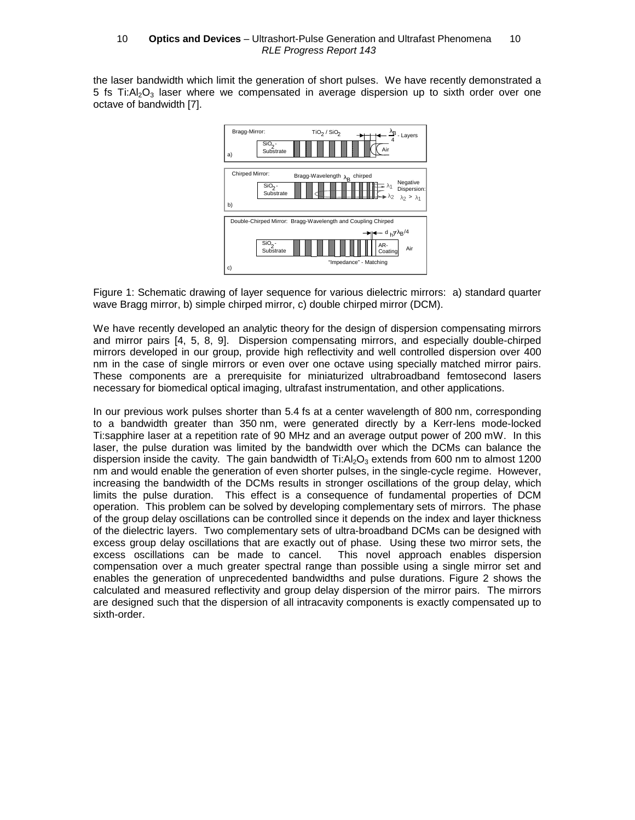the laser bandwidth which limit the generation of short pulses. We have recently demonstrated a 5 fs Ti: $A<sub>1</sub>O<sub>3</sub>$  laser where we compensated in average dispersion up to sixth order over one octave of bandwidth [7].



Figure 1: Schematic drawing of layer sequence for various dielectric mirrors: a) standard quarter wave Bragg mirror, b) simple chirped mirror, c) double chirped mirror (DCM).

We have recently developed an analytic theory for the design of dispersion compensating mirrors and mirror pairs [4, 5, 8, 9]. Dispersion compensating mirrors, and especially double-chirped mirrors developed in our group, provide high reflectivity and well controlled dispersion over 400 nm in the case of single mirrors or even over one octave using specially matched mirror pairs. These components are a prerequisite for miniaturized ultrabroadband femtosecond lasers necessary for biomedical optical imaging, ultrafast instrumentation, and other applications.

In our previous work pulses shorter than 5.4 fs at a center wavelength of 800 nm, corresponding to a bandwidth greater than 350 nm, were generated directly by a Kerr-lens mode-locked Ti:sapphire laser at a repetition rate of 90 MHz and an average output power of 200 mW. In this laser, the pulse duration was limited by the bandwidth over which the DCMs can balance the dispersion inside the cavity. The gain bandwidth of Ti: $A<sub>2</sub>O<sub>3</sub>$  extends from 600 nm to almost 1200 nm and would enable the generation of even shorter pulses, in the single-cycle regime. However, increasing the bandwidth of the DCMs results in stronger oscillations of the group delay, which limits the pulse duration. This effect is a consequence of fundamental properties of DCM operation. This problem can be solved by developing complementary sets of mirrors. The phase of the group delay oscillations can be controlled since it depends on the index and layer thickness of the dielectric layers. Two complementary sets of ultra-broadband DCMs can be designed with excess group delay oscillations that are exactly out of phase. Using these two mirror sets, the excess oscillations can be made to cancel. This novel approach enables dispersion compensation over a much greater spectral range than possible using a single mirror set and enables the generation of unprecedented bandwidths and pulse durations. Figure 2 shows the calculated and measured reflectivity and group delay dispersion of the mirror pairs. The mirrors are designed such that the dispersion of all intracavity components is exactly compensated up to sixth-order.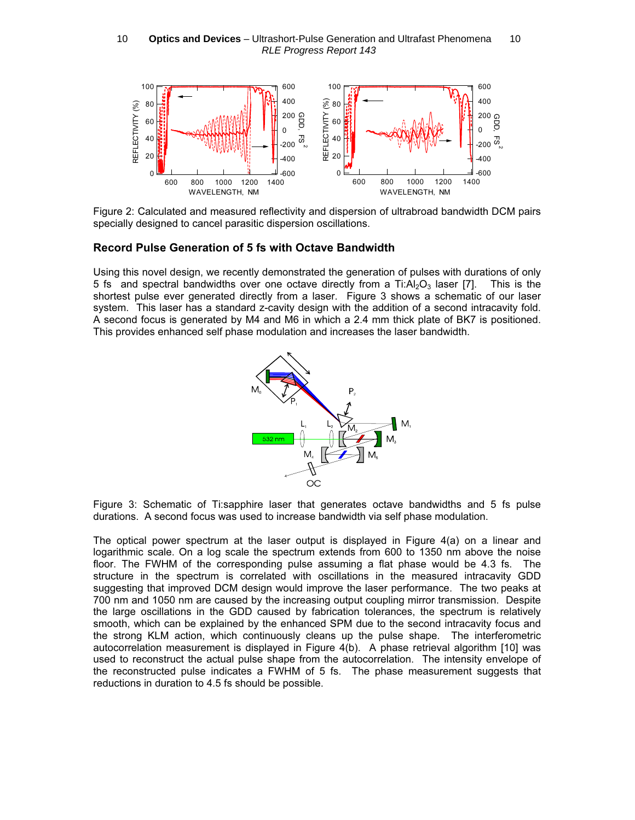#### 10  $-$  Optics and Devices - Ultrashort-Pulse Generation and Ultrafast Phenomena  $-$  10 RLE Progress Report 143



Figure 2: Calculated and measured reflectivity and dispersion of ultrabroad bandwidth DCM pairs specially designed to cancel parasitic dispersion oscillations.

#### Record Pulse Generation of 5 fs with Octave Bandwidth

Using this novel design, we recently demonstrated the generation of pulses with durations of only 5 fs and spectral bandwidths over one octave directly from a Ti: $Al_2O_3$  laser [7]. This is the shortest pulse ever generated directly from a laser. Figure 3 shows a schematic of our laser system. This laser has a standard z-cavity design with the addition of a second intracavity fold. A second focus is generated by M4 and M6 in which a 2.4 mm thick plate of BK7 is positioned. This provides enhanced self phase modulation and increases the laser bandwidth.



Figure 3: Schematic of Ti:sapphire laser that generates octave bandwidths and 5 fs pulse durations. A second focus was used to increase bandwidth via self phase modulation.

The optical power spectrum at the laser output is displayed in Figure 4(a) on a linear and logarithmic scale. On a log scale the spectrum extends from 600 to 1350 nm above the noise floor. The FWHM of the corresponding pulse assuming a flat phase would be 4.3 fs. The structure in the spectrum is correlated with oscillations in the measured intracavity GDD suggesting that improved DCM design would improve the laser performance. The two peaks at 700 nm and 1050 nm are caused by the increasing output coupling mirror transmission. Despite the large oscillations in the GDD caused by fabrication tolerances, the spectrum is relatively smooth, which can be explained by the enhanced SPM due to the second intracavity focus and the strong KLM action, which continuously cleans up the pulse shape. The interferometric autocorrelation measurement is displayed in Figure 4(b). A phase retrieval algorithm [10] was used to reconstruct the actual pulse shape from the autocorrelation. The intensity envelope of the reconstructed pulse indicates a FWHM of 5 fs. The phase measurement suggests that reductions in duration to 4.5 fs should be possible.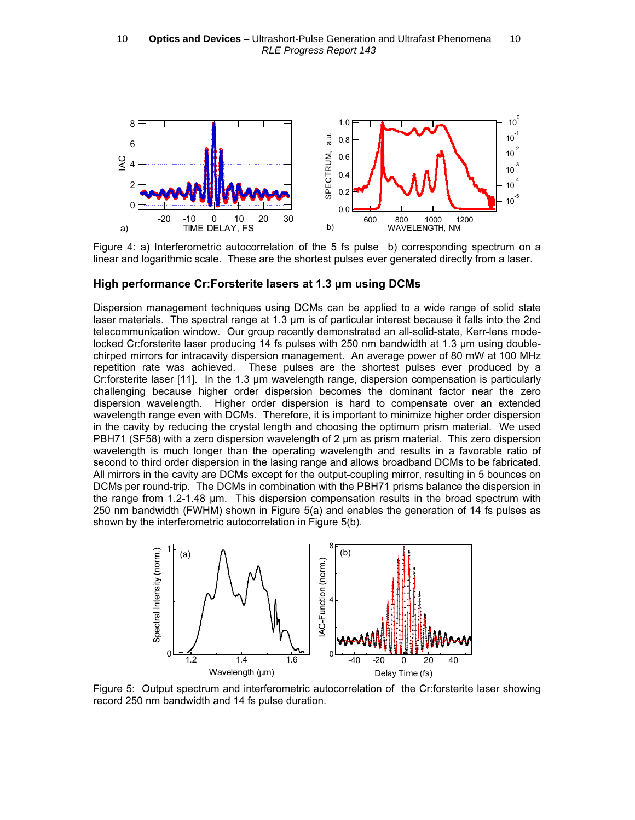

Figure 4: a) Interferometric autocorrelation of the 5 fs pulse b) corresponding spectrum on a linear and logarithmic scale. These are the shortest pulses ever generated directly from a laser.

#### High performance Cr:Forsterite lasers at 1.3 µm using DCMs

Dispersion management techniques using DCMs can be applied to a wide range of solid state laser materials. The spectral range at 1.3 µm is of particular interest because it falls into the 2nd telecommunication window. Our group recently demonstrated an all-solid-state, Kerr-lens modelocked Cr:forsterite laser producing 14 fs pulses with 250 nm bandwidth at 1.3 µm using doublechirped mirrors for intracavity dispersion management. An average power of 80 mW at 100 MHz repetition rate was achieved. These pulses are the shortest pulses ever produced by a Cr:forsterite laser [11]. In the 1.3 µm wavelength range, dispersion compensation is particularly challenging because higher order dispersion becomes the dominant factor near the zero dispersion wavelength. Higher order dispersion is hard to compensate over an extended wavelength range even with DCMs. Therefore, it is important to minimize higher order dispersion in the cavity by reducing the crystal length and choosing the optimum prism material. We used PBH71 (SF58) with a zero dispersion wavelength of 2 um as prism material. This zero dispersion wavelength is much longer than the operating wavelength and results in a favorable ratio of second to third order dispersion in the lasing range and allows broadband DCMs to be fabricated. All mirrors in the cavity are DCMs except for the output-coupling mirror, resulting in 5 bounces on DCMs per round-trip. The DCMs in combination with the PBH71 prisms balance the dispersion in the range from 1.2-1.48 µm. This dispersion compensation results in the broad spectrum with 250 nm bandwidth (FWHM) shown in Figure 5(a) and enables the generation of 14 fs pulses as shown by the interferometric autocorrelation in Figure 5(b).



Figure 5: Output spectrum and interferometric autocorrelation of the Cr:forsterite laser showing record 250 nm bandwidth and 14 fs pulse duration.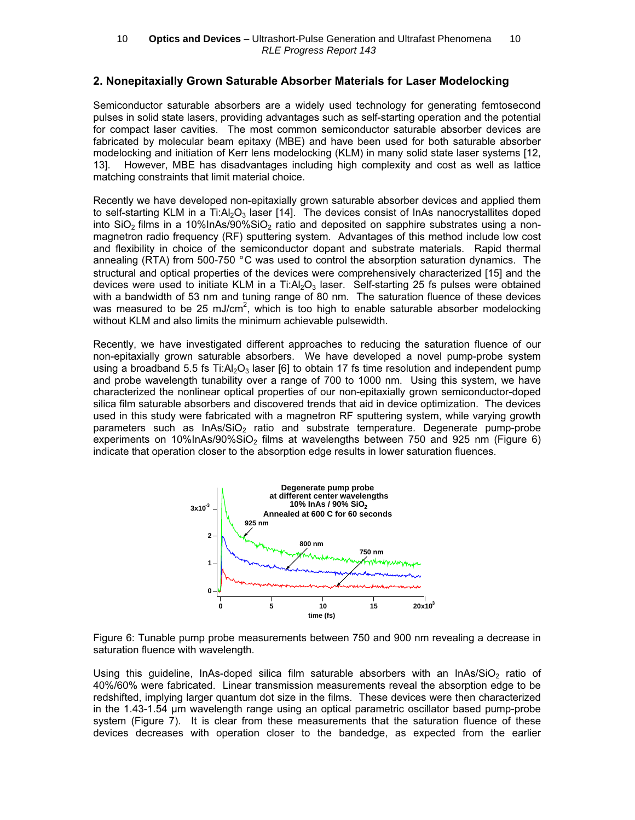#### 2. Nonepitaxially Grown Saturable Absorber Materials for Laser Modelocking

Semiconductor saturable absorbers are a widely used technology for generating femtosecond pulses in solid state lasers, providing advantages such as self-starting operation and the potential for compact laser cavities. The most common semiconductor saturable absorber devices are fabricated by molecular beam epitaxy (MBE) and have been used for both saturable absorber modelocking and initiation of Kerr lens modelocking (KLM) in many solid state laser systems [12, 13]. However, MBE has disadvantages including high complexity and cost as well as lattice matching constraints that limit material choice.

Recently we have developed non-epitaxially grown saturable absorber devices and applied them to self-starting KLM in a Ti: $Al_2O_3$  laser [14]. The devices consist of InAs nanocrystallites doped into  $SiO<sub>2</sub>$  films in a 10%InAs/90% $SiO<sub>2</sub>$  ratio and deposited on sapphire substrates using a nonmagnetron radio frequency (RF) sputtering system. Advantages of this method include low cost and flexibility in choice of the semiconductor dopant and substrate materials. Rapid thermal annealing (RTA) from 500-750  $\degree$ C was used to control the absorption saturation dynamics. The structural and optical properties of the devices were comprehensively characterized [15] and the devices were used to initiate KLM in a Ti: $Al_2O_3$  laser. Self-starting 25 fs pulses were obtained with a bandwidth of 53 nm and tuning range of 80 nm. The saturation fluence of these devices was measured to be 25 mJ/cm<sup>2</sup>, which is too high to enable saturable absorber modelocking without KLM and also limits the minimum achievable pulsewidth.

Recently, we have investigated different approaches to reducing the saturation fluence of our non-epitaxially grown saturable absorbers. We have developed a novel pump-probe system using a broadband 5.5 fs Ti: $A_2O_3$  laser [6] to obtain 17 fs time resolution and independent pump and probe wavelength tunability over a range of 700 to 1000 nm. Using this system, we have characterized the nonlinear optical properties of our non-epitaxially grown semiconductor-doped silica film saturable absorbers and discovered trends that aid in device optimization. The devices used in this study were fabricated with a magnetron RF sputtering system, while varying growth parameters such as  $InAs/SiO<sub>2</sub>$  ratio and substrate temperature. Degenerate pump-probe experiments on 10%InAs/90%SiO<sub>2</sub> films at wavelengths between 750 and 925 nm (Figure 6) indicate that operation closer to the absorption edge results in lower saturation fluences.



Figure 6: Tunable pump probe measurements between 750 and 900 nm revealing a decrease in saturation fluence with wavelength.

Using this guideline, InAs-doped silica film saturable absorbers with an InAs/ $SiO<sub>2</sub>$  ratio of 40%/60% were fabricated. Linear transmission measurements reveal the absorption edge to be redshifted, implying larger quantum dot size in the films. These devices were then characterized in the 1.43-1.54 µm wavelength range using an optical parametric oscillator based pump-probe system (Figure 7). It is clear from these measurements that the saturation fluence of these devices decreases with operation closer to the bandedge, as expected from the earlier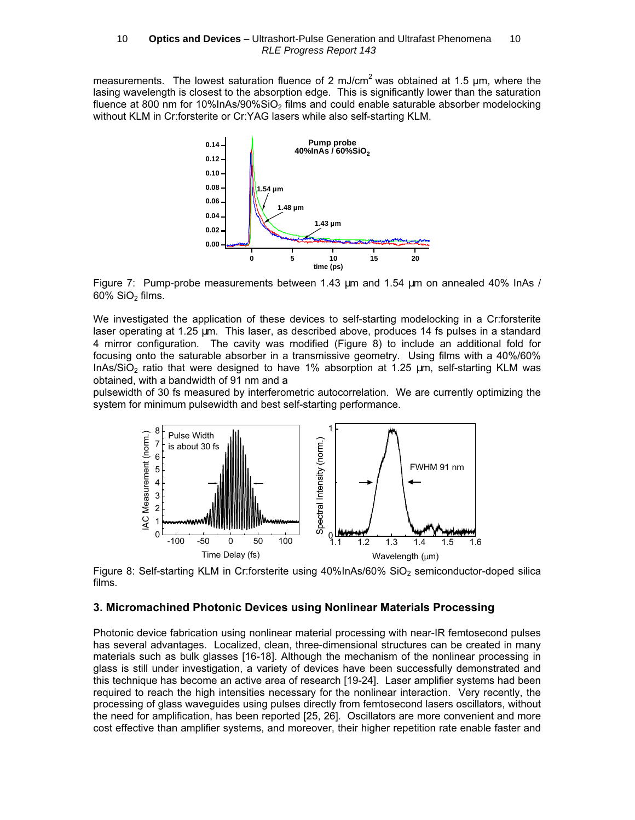measurements. The lowest saturation fluence of 2 mJ/cm<sup>2</sup> was obtained at 1.5  $\mu$ m, where the lasing wavelength is closest to the absorption edge. This is significantly lower than the saturation fluence at 800 nm for 10%InAs/90%SiO<sub>2</sub> films and could enable saturable absorber modelocking without KLM in Cr:forsterite or Cr:YAG lasers while also self-starting KLM.



Figure 7: Pump-probe measurements between 1.43 µm and 1.54 µm on annealed 40% InAs /  $60\%$  SiO<sub>2</sub> films.

We investigated the application of these devices to self-starting modelocking in a Cr:forsterite laser operating at 1.25 µm. This laser, as described above, produces 14 fs pulses in a standard 4 mirror configuration. The cavity was modified (Figure 8) to include an additional fold for focusing onto the saturable absorber in a transmissive geometry. Using films with a 40%/60% InAs/SiO<sub>2</sub> ratio that were designed to have 1% absorption at 1.25  $\mu$ m, self-starting KLM was obtained, with a bandwidth of 91 nm and a

pulsewidth of 30 fs measured by interferometric autocorrelation. We are currently optimizing the system for minimum pulsewidth and best self-starting performance.



Figure 8: Self-starting KLM in Cr:forsterite using  $40\%$  InAs/60% SiO<sub>2</sub> semiconductor-doped silica films.

## 3. Micromachined Photonic Devices using Nonlinear Materials Processing

Photonic device fabrication using nonlinear material processing with near-IR femtosecond pulses has several advantages. Localized, clean, three-dimensional structures can be created in many materials such as bulk glasses [16-18]. Although the mechanism of the nonlinear processing in glass is still under investigation, a variety of devices have been successfully demonstrated and this technique has become an active area of research [19-24]. Laser amplifier systems had been required to reach the high intensities necessary for the nonlinear interaction. Very recently, the processing of glass waveguides using pulses directly from femtosecond lasers oscillators, without the need for amplification, has been reported [25, 26]. Oscillators are more convenient and more cost effective than amplifier systems, and moreover, their higher repetition rate enable faster and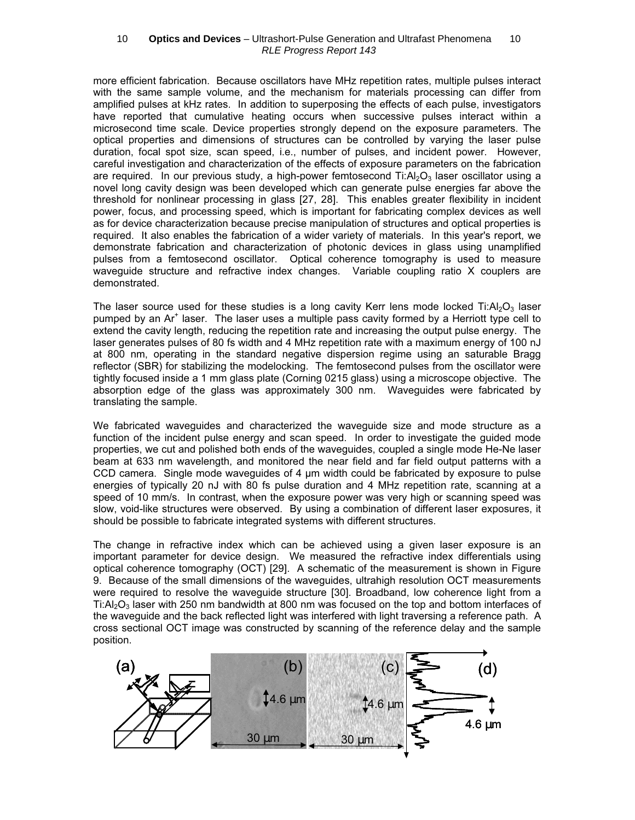more efficient fabrication. Because oscillators have MHz repetition rates, multiple pulses interact with the same sample volume, and the mechanism for materials processing can differ from amplified pulses at kHz rates. In addition to superposing the effects of each pulse, investigators have reported that cumulative heating occurs when successive pulses interact within a microsecond time scale. Device properties strongly depend on the exposure parameters. The optical properties and dimensions of structures can be controlled by varying the laser pulse duration, focal spot size, scan speed, i.e., number of pulses, and incident power. However, careful investigation and characterization of the effects of exposure parameters on the fabrication are required. In our previous study, a high-power femtosecond  $Ti:Al<sub>2</sub>O<sub>3</sub>$  laser oscillator using a novel long cavity design was been developed which can generate pulse energies far above the threshold for nonlinear processing in glass [27, 28]. This enables greater flexibility in incident power, focus, and processing speed, which is important for fabricating complex devices as well as for device characterization because precise manipulation of structures and optical properties is required. It also enables the fabrication of a wider variety of materials. In this year's report, we demonstrate fabrication and characterization of photonic devices in glass using unamplified pulses from a femtosecond oscillator. Optical coherence tomography is used to measure waveguide structure and refractive index changes. Variable coupling ratio X couplers are demonstrated. 10 — Optics and Devices – Ultrashort-Pulse Generation and Ultrafast Phenomena -- 10<br>
efficient fasonconic, Because oscillators have MHz repetition rates, multiple pulses inter<br>
the same sample volume, and the mechanism for

The laser source used for these studies is a long cavity Kerr lens mode locked Ti: $Al_2O_3$  laser pumped by an Ar<sup>+</sup> laser. The laser uses a multiple pass cavity formed by a Herriott type cell to extend the cavity length, reducing the repetition rate and increasing the output pulse energy. The laser generates pulses of 80 fs width and 4 MHz repetition rate with a maximum energy of 100 nJ at 800 nm, operating in the standard negative dispersion regime using an saturable Bragg reflector (SBR) for stabilizing the modelocking. The femtosecond pulses from the oscillator were tightly focused inside a 1 mm glass plate (Corning 0215 glass) using a microscope objective. The absorption edge of the glass was approximately 300 nm. Waveguides were fabricated by translating the sample.

We fabricated waveguides and characterized the waveguide size and mode structure as a function of the incident pulse energy and scan speed. In order to investigate the guided mode properties, we cut and polished both ends of the waveguides, coupled a single mode He-Ne laser beam at 633 nm wavelength, and monitored the near field and far field output patterns with a CCD camera. Single mode waveguides of 4 µm width could be fabricated by exposure to pulse energies of typically 20 nJ with 80 fs pulse duration and 4 MHz repetition rate, scanning at a speed of 10 mm/s. In contrast, when the exposure power was very high or scanning speed was slow, void-like structures were observed. By using a combination of different laser exposures, it should be possible to fabricate integrated systems with different structures.

The change in refractive index which can be achieved using a given laser exposure is an important parameter for device design. We measured the refractive index differentials using optical coherence tomography (OCT) [29]. A schematic of the measurement is shown in Figure 9. Because of the small dimensions of the waveguides, ultrahigh resolution OCT measurements were required to resolve the waveguide structure [30]. Broadband, low coherence light from a Ti: $A$ <sub>2</sub>O<sub>3</sub> laser with 250 nm bandwidth at 800 nm was focused on the top and bottom interfaces of the waveguide and the back reflected light was interfered with light traversing a reference path. A cross sectional OCT image was constructed by scanning of the reference delay and the sample position.

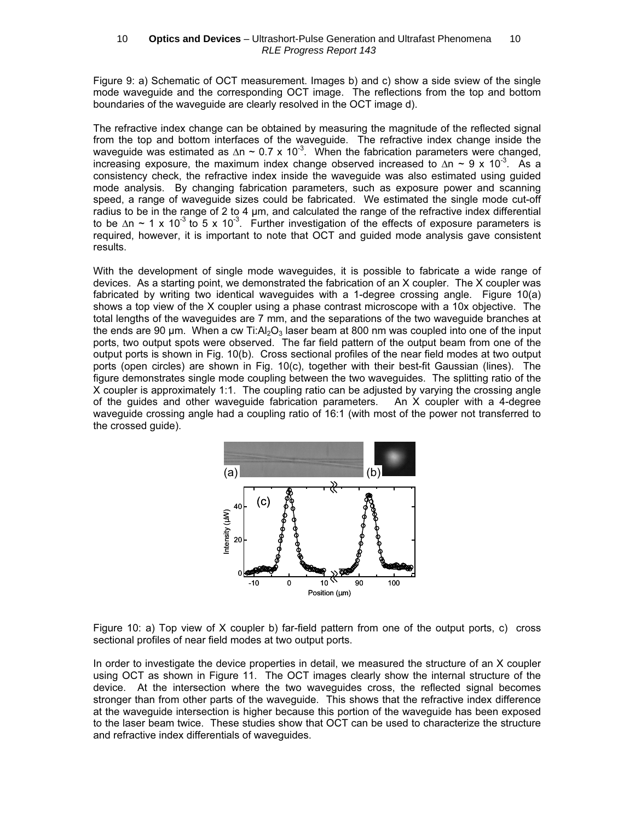Figure 9: a) Schematic of OCT measurement. Images b) and c) show a side sview of the single mode waveguide and the corresponding OCT image. The reflections from the top and bottom boundaries of the waveguide are clearly resolved in the OCT image d).

The refractive index change can be obtained by measuring the magnitude of the reflected signal from the top and bottom interfaces of the waveguide. The refractive index change inside the waveguide was estimated as  $\Delta n \sim 0.7 \times 10^{-3}$ . When the fabrication parameters were changed, increasing exposure, the maximum index change observed increased to  $\Delta n \sim 9 \times 10^{-3}$ . As a consistency check, the refractive index inside the waveguide was also estimated using guided mode analysis. By changing fabrication parameters, such as exposure power and scanning speed, a range of waveguide sizes could be fabricated. We estimated the single mode cut-off radius to be in the range of 2 to 4 µm, and calculated the range of the refractive index differential to be  $\Delta n \sim 1 \times 10^{-3}$  to 5 x 10<sup>-3</sup>. Further investigation of the effects of exposure parameters is required, however, it is important to note that OCT and guided mode analysis gave consistent results.

With the development of single mode waveguides, it is possible to fabricate a wide range of devices. As a starting point, we demonstrated the fabrication of an X coupler. The X coupler was fabricated by writing two identical waveguides with a 1-degree crossing angle. Figure 10(a) shows a top view of the X coupler using a phase contrast microscope with a 10x objective. The total lengths of the waveguides are 7 mm, and the separations of the two waveguide branches at the ends are 90  $\mu$ m. When a cw Ti: $A_2O_3$  laser beam at 800 nm was coupled into one of the input ports, two output spots were observed. The far field pattern of the output beam from one of the output ports is shown in Fig. 10(b). Cross sectional profiles of the near field modes at two output ports (open circles) are shown in Fig. 10(c), together with their best-fit Gaussian (lines). The figure demonstrates single mode coupling between the two waveguides. The splitting ratio of the X coupler is approximately 1:1. The coupling ratio can be adjusted by varying the crossing angle of the guides and other waveguide fabrication parameters. An X coupler with a 4-degree waveguide crossing angle had a coupling ratio of 16:1 (with most of the power not transferred to the crossed guide).



Figure 10: a) Top view of X coupler b) far-field pattern from one of the output ports, c) cross sectional profiles of near field modes at two output ports.

In order to investigate the device properties in detail, we measured the structure of an X coupler using OCT as shown in Figure 11. The OCT images clearly show the internal structure of the device. At the intersection where the two waveguides cross, the reflected signal becomes stronger than from other parts of the waveguide. This shows that the refractive index difference at the waveguide intersection is higher because this portion of the waveguide has been exposed to the laser beam twice. These studies show that OCT can be used to characterize the structure and refractive index differentials of waveguides.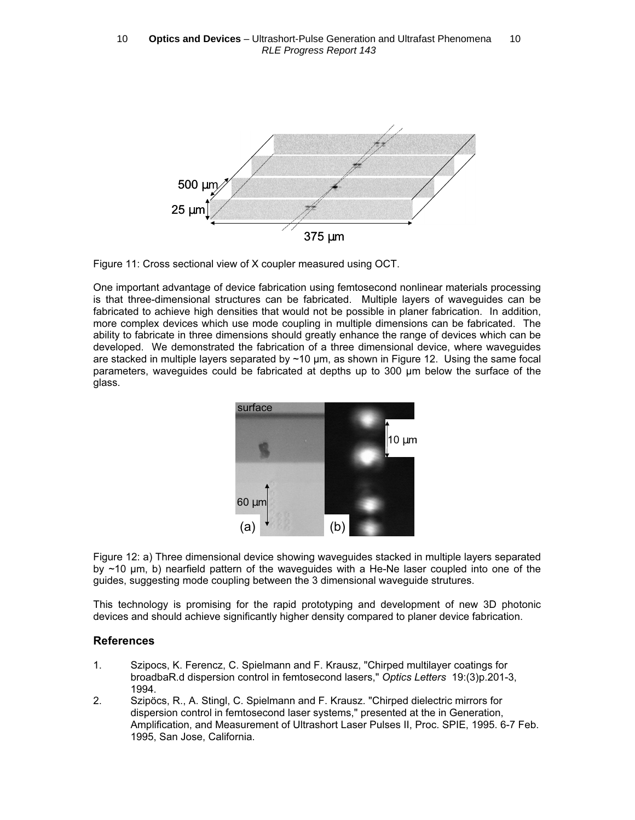

Figure 11: Cross sectional view of X coupler measured using OCT.

One important advantage of device fabrication using femtosecond nonlinear materials processing is that three-dimensional structures can be fabricated. Multiple layers of waveguides can be fabricated to achieve high densities that would not be possible in planer fabrication. In addition, more complex devices which use mode coupling in multiple dimensions can be fabricated. The ability to fabricate in three dimensions should greatly enhance the range of devices which can be developed. We demonstrated the fabrication of a three dimensional device, where waveguides are stacked in multiple layers separated by ~10 µm, as shown in Figure 12. Using the same focal parameters, waveguides could be fabricated at depths up to 300 µm below the surface of the glass.



Figure 12: a) Three dimensional device showing waveguides stacked in multiple layers separated by ~10 µm, b) nearfield pattern of the waveguides with a He-Ne laser coupled into one of the guides, suggesting mode coupling between the 3 dimensional waveguide strutures.

This technology is promising for the rapid prototyping and development of new 3D photonic devices and should achieve significantly higher density compared to planer device fabrication.

## **References**

- 1. Szipocs, K. Ferencz, C. Spielmann and F. Krausz, "Chirped multilayer coatings for broadbaR.d dispersion control in femtosecond lasers," Optics Letters 19:(3)p.201-3, 1994.
- 2. Szipöcs, R., A. Stingl, C. Spielmann and F. Krausz. "Chirped dielectric mirrors for dispersion control in femtosecond laser systems," presented at the in Generation, Amplification, and Measurement of Ultrashort Laser Pulses II, Proc. SPIE, 1995. 6-7 Feb. 1995, San Jose, California.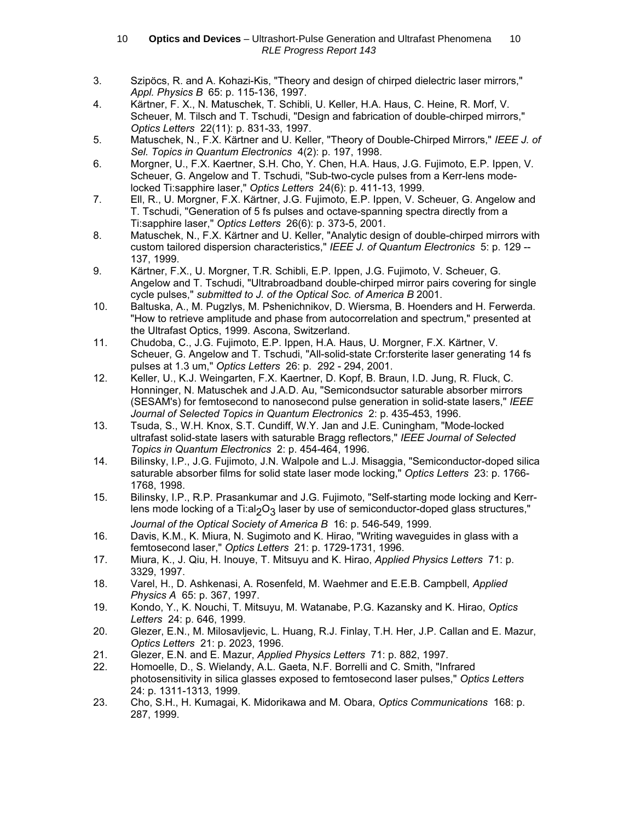- 3. Szipöcs, R. and A. Kohazi-Kis, "Theory and design of chirped dielectric laser mirrors," Appl. Physics B 65: p. 115-136, 1997.
- 4. Kärtner, F. X., N. Matuschek, T. Schibli, U. Keller, H.A. Haus, C. Heine, R. Morf, V. Scheuer, M. Tilsch and T. Tschudi, "Design and fabrication of double-chirped mirrors," Optics Letters 22(11): p. 831-33, 1997.
- 5. Matuschek, N., F.X. Kärtner and U. Keller, "Theory of Double-Chirped Mirrors," IEEE J. of Sel. Topics in Quantum Electronics 4(2): p. 197, 1998.
- 6. Morgner, U., F.X. Kaertner, S.H. Cho, Y. Chen, H.A. Haus, J.G. Fujimoto, E.P. Ippen, V. Scheuer, G. Angelow and T. Tschudi, "Sub-two-cycle pulses from a Kerr-lens modelocked Ti:sapphire laser," Optics Letters 24(6): p. 411-13, 1999.
- 7. Ell, R., U. Morgner, F.X. Kärtner, J.G. Fujimoto, E.P. Ippen, V. Scheuer, G. Angelow and T. Tschudi, "Generation of 5 fs pulses and octave-spanning spectra directly from a Ti:sapphire laser," Optics Letters 26(6): p. 373-5, 2001.
- 8. Matuschek, N., F.X. Kärtner and U. Keller, "Analytic design of double-chirped mirrors with custom tailored dispersion characteristics," IEEE J. of Quantum Electronics 5: p. 129 -- 137, 1999.
- 9. Kärtner, F.X., U. Morgner, T.R. Schibli, E.P. Ippen, J.G. Fujimoto, V. Scheuer, G. Angelow and T. Tschudi, "Ultrabroadband double-chirped mirror pairs covering for single cycle pulses," submitted to J. of the Optical Soc. of America B 2001.
- 10. Baltuska, A., M. Pugzlys, M. Pshenichnikov, D. Wiersma, B. Hoenders and H. Ferwerda. "How to retrieve amplitude and phase from autocorrelation and spectrum," presented at the Ultrafast Optics, 1999. Ascona, Switzerland.
- 11. Chudoba, C., J.G. Fujimoto, E.P. Ippen, H.A. Haus, U. Morgner, F.X. Kärtner, V. Scheuer, G. Angelow and T. Tschudi, "All-solid-state Cr:forsterite laser generating 14 fs pulses at 1.3 um," Optics Letters 26: p. 292 - 294, 2001.
- 12. Keller, U., K.J. Weingarten, F.X. Kaertner, D. Kopf, B. Braun, I.D. Jung, R. Fluck, C. Honninger, N. Matuschek and J.A.D. Au, "Semicondsuctor saturable absorber mirrors (SESAM's) for femtosecond to nanosecond pulse generation in solid-state lasers," IEEE Journal of Selected Topics in Quantum Electronics 2: p. 435-453, 1996.
- 13. Tsuda, S., W.H. Knox, S.T. Cundiff, W.Y. Jan and J.E. Cuningham, "Mode-locked ultrafast solid-state lasers with saturable Bragg reflectors," IEEE Journal of Selected Topics in Quantum Electronics 2: p. 454-464, 1996.
- 14. Bilinsky, I.P., J.G. Fujimoto, J.N. Walpole and L.J. Misaggia, "Semiconductor-doped silica saturable absorber films for solid state laser mode locking," Optics Letters 23: p. 1766- 1768, 1998.
- 15. Bilinsky, I.P., R.P. Prasankumar and J.G. Fujimoto, "Self-starting mode locking and Kerrlens mode locking of a Ti:al<sub>2</sub>O<sub>3</sub> laser by use of semiconductor-doped glass structures," Journal of the Optical Society of America B 16: p. 546-549, 1999.
- 16. Davis, K.M., K. Miura, N. Sugimoto and K. Hirao, "Writing waveguides in glass with a femtosecond laser," Optics Letters 21: p. 1729-1731, 1996.
- 17. Miura, K., J. Qiu, H. Inouye, T. Mitsuyu and K. Hirao, Applied Physics Letters 71: p. 3329, 1997.
- 18. Varel, H., D. Ashkenasi, A. Rosenfeld, M. Waehmer and E.E.B. Campbell, Applied Physics A 65: p. 367, 1997.
- 19. Kondo, Y., K. Nouchi, T. Mitsuyu, M. Watanabe, P.G. Kazansky and K. Hirao, Optics Letters 24: p. 646, 1999.
- 20. Glezer, E.N., M. Milosavljevic, L. Huang, R.J. Finlay, T.H. Her, J.P. Callan and E. Mazur, Optics Letters 21: p. 2023, 1996.
- 21. Glezer, E.N. and E. Mazur, Applied Physics Letters 71: p. 882, 1997.
- 22. Homoelle, D., S. Wielandy, A.L. Gaeta, N.F. Borrelli and C. Smith, "Infrared photosensitivity in silica glasses exposed to femtosecond laser pulses," Optics Letters 24: p. 1311-1313, 1999.
- 23. Cho, S.H., H. Kumagai, K. Midorikawa and M. Obara, Optics Communications 168: p. 287, 1999.